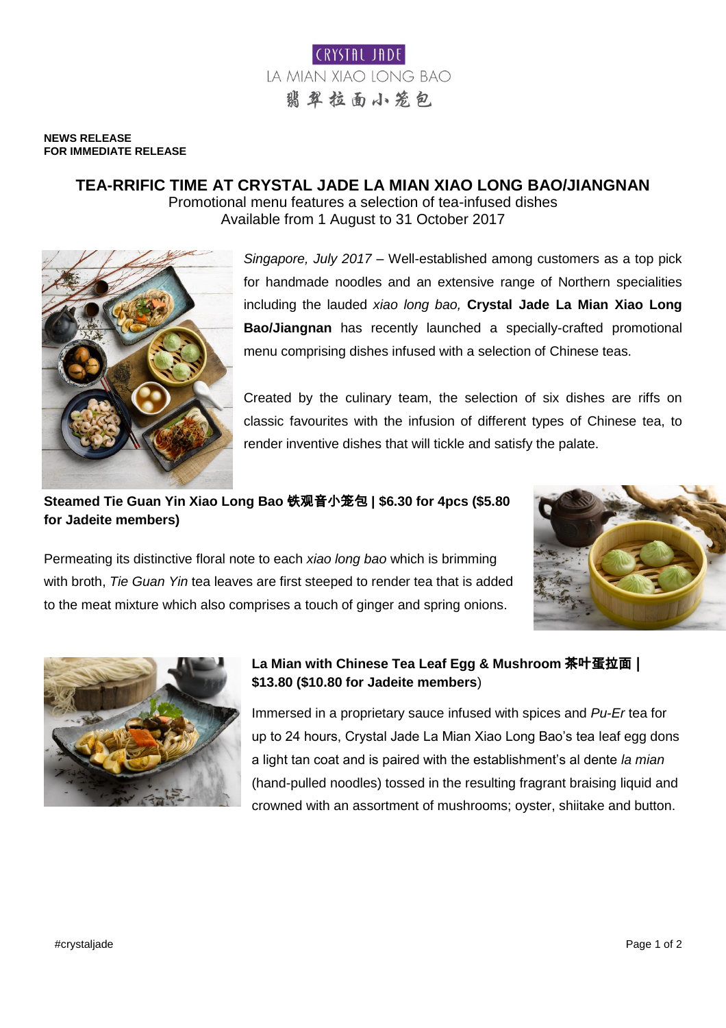

#### **NEWS RELEASE FOR IMMEDIATE RELEASE**

# **TEA-RRIFIC TIME AT CRYSTAL JADE LA MIAN XIAO LONG BAO/JIANGNAN**

Promotional menu features a selection of tea-infused dishes Available from 1 August to 31 October 2017



*Singapore, July 2017* – Well-established among customers as a top pick for handmade noodles and an extensive range of Northern specialities including the lauded *xiao long bao,* **Crystal Jade La Mian Xiao Long Bao/Jiangnan** has recently launched a specially-crafted promotional menu comprising dishes infused with a selection of Chinese teas.

Created by the culinary team, the selection of six dishes are riffs on classic favourites with the infusion of different types of Chinese tea, to render inventive dishes that will tickle and satisfy the palate.

### **Steamed Tie Guan Yin Xiao Long Bao** 铁观音小笼包 **| \$6.30 for 4pcs (\$5.80 for Jadeite members)**





Permeating its distinctive floral note to each *xiao long bao* which is brimming



## **La Mian with Chinese Tea Leaf Egg & Mushroom** 茶叶蛋拉面 **| \$13.80 (\$10.80 for Jadeite members**)

Immersed in a proprietary sauce infused with spices and *Pu-Er* tea for up to 24 hours, Crystal Jade La Mian Xiao Long Bao's tea leaf egg dons a light tan coat and is paired with the establishment's al dente *la mian* (hand-pulled noodles) tossed in the resulting fragrant braising liquid and crowned with an assortment of mushrooms; oyster, shiitake and button.